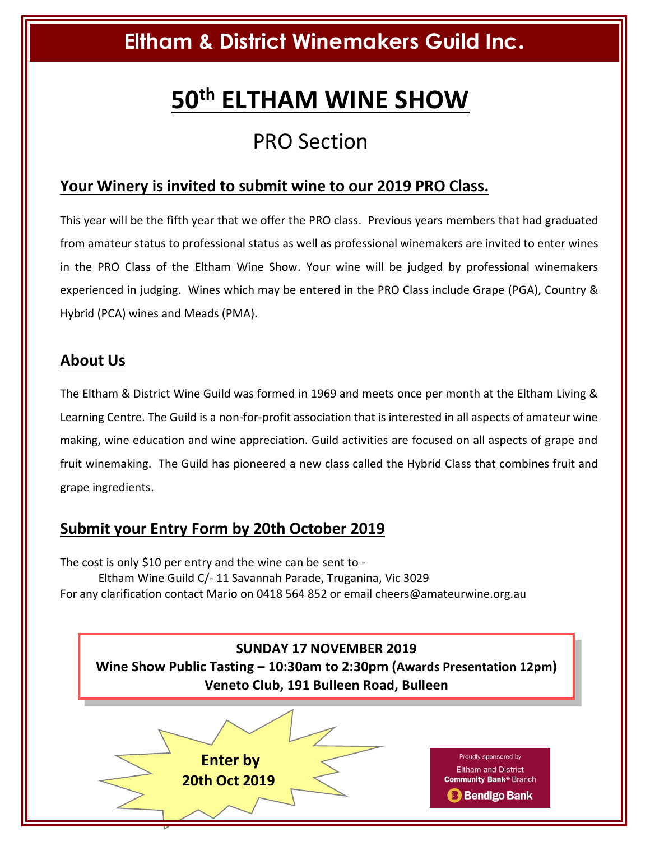# **Eltham & District Winemakers Guild Inc.**

# **50th ELTHAM WINE SHOW**

## PRO Section

## **Your Winery is invited to submit wine to our 2019 PRO Class.**

This year will be the fifth year that we offer the PRO class. Previous years members that had graduated from amateur status to professional status as well as professional winemakers are invited to enter wines in the PRO Class of the Eltham Wine Show. Your wine will be judged by professional winemakers experienced in judging. Wines which may be entered in the PRO Class include Grape (PGA), Country & Hybrid (PCA) wines and Meads (PMA).

#### **About Us**

The Eltham & District Wine Guild was formed in 1969 and meets once per month at the Eltham Living & Learning Centre. The Guild is a non-for-profit association that is interested in all aspects of amateur wine making, wine education and wine appreciation. Guild activities are focused on all aspects of grape and fruit winemaking. The Guild has pioneered a new class called the Hybrid Class that combines fruit and grape ingredients.

### **Submit your Entry Form by 20th October 2019**

The cost is only \$10 per entry and the wine can be sent to - Eltham Wine Guild C/- 11 Savannah Parade, Truganina, Vic 3029 For any clarification contact Mario on 0418 564 852 or email cheers@amateurwine.org.au